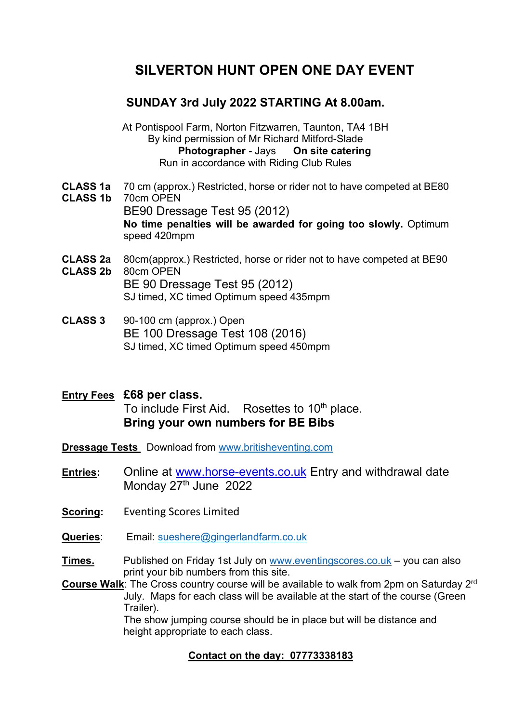# SILVERTON HUNT OPEN ONE DAY EVENT

## SUNDAY 3rd July 2022 STARTING At 8.00am.

At Pontispool Farm, Norton Fitzwarren, Taunton, TA4 1BH By kind permission of Mr Richard Mitford-Slade Photographer - Jays On site catering Run in accordance with Riding Club Rules

- CLASS 1a 70 cm (approx.) Restricted, horse or rider not to have competed at BE80
- CLASS 1b 70cm OPEN BE90 Dressage Test 95 (2012) No time penalties will be awarded for going too slowly. Optimum speed 420mpm
- CLASS 2a 80cm(approx.) Restricted, horse or rider not to have competed at BE90 CLASS 2b 80cm OPEN BE 90 Dressage Test 95 (2012) SJ timed, XC timed Optimum speed 435mpm
- CLASS 3 90-100 cm (approx.) Open BE 100 Dressage Test 108 (2016) SJ timed, XC timed Optimum speed 450mpm
- **Entry Fees £68 per class.** To include First Aid. Rosettes to 10<sup>th</sup> place. Bring your own numbers for BE Bibs
- Dressage Tests Download from www.britisheventing.com
- Entries: Online at www.horse-events.co.uk Entry and withdrawal date Monday 27<sup>th</sup> June 2022
- Scoring: Eventing Scores Limited
- Queries: Email: sueshere@gingerlandfarm.co.uk

Times. Published on Friday 1st July on www.eventingscores.co.uk – you can also print your bib numbers from this site.

Course Walk: The Cross country course will be available to walk from 2pm on Saturdav 2<sup>rd</sup> July. Maps for each class will be available at the start of the course (Green Trailer).

 The show jumping course should be in place but will be distance and height appropriate to each class.

### Contact on the day: 07773338183